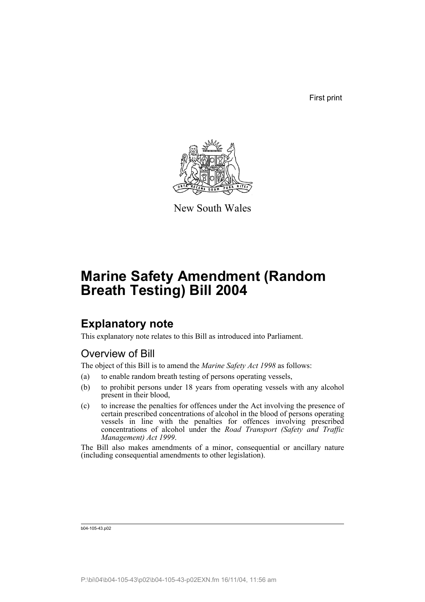First print



New South Wales

# **Marine Safety Amendment (Random Breath Testing) Bill 2004**

## **Explanatory note**

This explanatory note relates to this Bill as introduced into Parliament.

### Overview of Bill

The object of this Bill is to amend the *Marine Safety Act 1998* as follows:

- (a) to enable random breath testing of persons operating vessels,
- (b) to prohibit persons under 18 years from operating vessels with any alcohol present in their blood,
- (c) to increase the penalties for offences under the Act involving the presence of certain prescribed concentrations of alcohol in the blood of persons operating vessels in line with the penalties for offences involving prescribed concentrations of alcohol under the *Road Transport (Safety and Traffic Management) Act 1999*.

The Bill also makes amendments of a minor, consequential or ancillary nature (including consequential amendments to other legislation).

b04-105-43.p02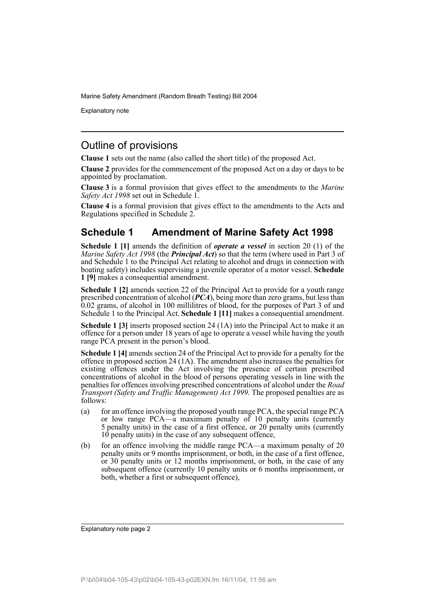Explanatory note

### Outline of provisions

**Clause 1** sets out the name (also called the short title) of the proposed Act.

**Clause 2** provides for the commencement of the proposed Act on a day or days to be appointed by proclamation.

**Clause 3** is a formal provision that gives effect to the amendments to the *Marine Safety Act 1998* set out in Schedule 1.

**Clause 4** is a formal provision that gives effect to the amendments to the Acts and Regulations specified in Schedule 2.

### **Schedule 1 Amendment of Marine Safety Act 1998**

**Schedule 1 [1]** amends the definition of *operate a vessel* in section 20 (1) of the *Marine Safety Act 1998* (the *Principal Act*) so that the term (where used in Part 3 of and Schedule 1 to the Principal Act relating to alcohol and drugs in connection with boating safety) includes supervising a juvenile operator of a motor vessel. **Schedule 1 [9]** makes a consequential amendment.

**Schedule 1 [2]** amends section 22 of the Principal Act to provide for a youth range prescribed concentration of alcohol (*PCA*), being more than zero grams, but less than 0.02 grams, of alcohol in 100 millilitres of blood, for the purposes of Part 3 of and Schedule 1 to the Principal Act. **Schedule 1 [11]** makes a consequential amendment.

**Schedule 1 [3]** inserts proposed section 24 (1A) into the Principal Act to make it an offence for a person under 18 years of age to operate a vessel while having the youth range PCA present in the person's blood.

**Schedule 1 [4]** amends section 24 of the Principal Act to provide for a penalty for the offence in proposed section 24 (1A). The amendment also increases the penalties for existing offences under the Act involving the presence of certain prescribed concentrations of alcohol in the blood of persons operating vessels in line with the penalties for offences involving prescribed concentrations of alcohol under the *Road Transport (Safety and Traffic Management) Act 1999*. The proposed penalties are as follows:

- (a) for an offence involving the proposed youth range PCA, the special range PCA or low range PCA—a maximum penalty of 10 penalty units (currently 5 penalty units) in the case of a first offence, or 20 penalty units (currently 10 penalty units) in the case of any subsequent offence,
- (b) for an offence involving the middle range PCA—a maximum penalty of 20 penalty units or 9 months imprisonment, or both, in the case of a first offence, or 30 penalty units or 12 months imprisonment, or both, in the case of any subsequent offence (currently 10 penalty units or 6 months imprisonment, or both, whether a first or subsequent offence),

Explanatory note page 2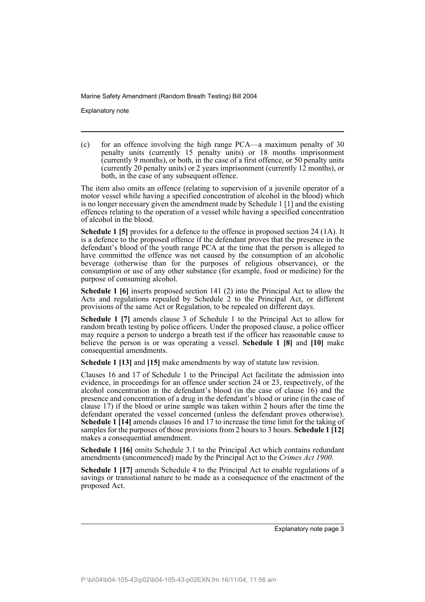Explanatory note

(c) for an offence involving the high range PCA—a maximum penalty of 30 penalty units (currently 15 penalty units) or 18 months imprisonment (currently 9 months), or both, in the case of a first offence, or 50 penalty units (currently 20 penalty units) or 2 years imprisonment (currently 12 months), or both, in the case of any subsequent offence.

The item also omits an offence (relating to supervision of a juvenile operator of a motor vessel while having a specified concentration of alcohol in the blood) which is no longer necessary given the amendment made by Schedule 1 [1] and the existing offences relating to the operation of a vessel while having a specified concentration of alcohol in the blood.

**Schedule 1 [5]** provides for a defence to the offence in proposed section 24 (1A). It is a defence to the proposed offence if the defendant proves that the presence in the defendant's blood of the youth range PCA at the time that the person is alleged to have committed the offence was not caused by the consumption of an alcoholic beverage (otherwise than for the purposes of religious observance), or the consumption or use of any other substance (for example, food or medicine) for the purpose of consuming alcohol.

**Schedule 1 [6]** inserts proposed section 141 (2) into the Principal Act to allow the Acts and regulations repealed by Schedule 2 to the Principal Act, or different provisions of the same Act or Regulation, to be repealed on different days.

**Schedule 1 [7]** amends clause 3 of Schedule 1 to the Principal Act to allow for random breath testing by police officers. Under the proposed clause, a police officer may require a person to undergo a breath test if the officer has reasonable cause to believe the person is or was operating a vessel. **Schedule 1 [8]** and **[10]** make consequential amendments.

**Schedule 1 [13]** and **[15]** make amendments by way of statute law revision.

Clauses 16 and 17 of Schedule 1 to the Principal Act facilitate the admission into evidence, in proceedings for an offence under section 24 or 23, respectively, of the alcohol concentration in the defendant's blood (in the case of clause 16) and the presence and concentration of a drug in the defendant's blood or urine (in the case of clause 17) if the blood or urine sample was taken within 2 hours after the time the defendant operated the vessel concerned (unless the defendant proves otherwise). **Schedule 1 [14]** amends clauses 16 and 17 to increase the time limit for the taking of samples for the purposes of those provisions from 2 hours to 3 hours. **Schedule 1 [12]** makes a consequential amendment.

**Schedule 1 [16]** omits Schedule 3.1 to the Principal Act which contains redundant amendments (uncommenced) made by the Principal Act to the *Crimes Act 1900*.

**Schedule 1 [17]** amends Schedule 4 to the Principal Act to enable regulations of a savings or transitional nature to be made as a consequence of the enactment of the proposed Act.

Explanatory note page 3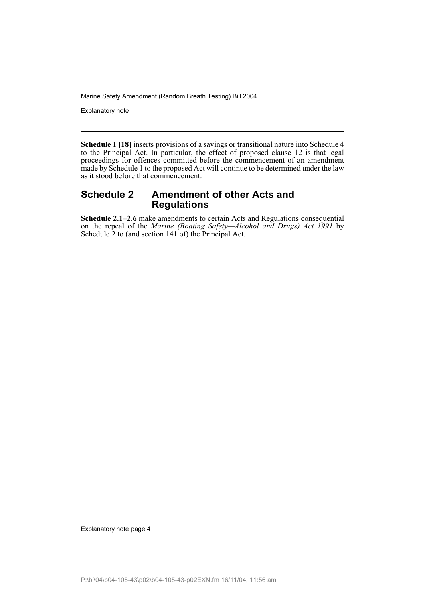Explanatory note

**Schedule 1 [18]** inserts provisions of a savings or transitional nature into Schedule 4 to the Principal Act. In particular, the effect of proposed clause 12 is that legal proceedings for offences committed before the commencement of an amendment made by Schedule 1 to the proposed Act will continue to be determined under the law as it stood before that commencement.

#### **Schedule 2 Amendment of other Acts and Regulations**

**Schedule 2.1–2.6** make amendments to certain Acts and Regulations consequential on the repeal of the *Marine (Boating Safety—Alcohol and Drugs) Act 1991* by Schedule 2 to (and section 141 of) the Principal Act.

Explanatory note page 4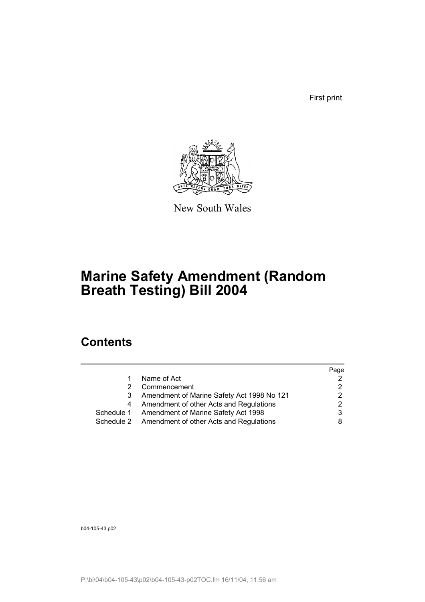First print



New South Wales

# **Marine Safety Amendment (Random Breath Testing) Bill 2004**

## **Contents**

|            |                                                    | Page |
|------------|----------------------------------------------------|------|
|            | Name of Act                                        |      |
|            | Commencement                                       |      |
|            | Amendment of Marine Safety Act 1998 No 121         | 2    |
| 4          | Amendment of other Acts and Regulations            |      |
| Schedule 1 | Amendment of Marine Safety Act 1998                |      |
|            | Schedule 2 Amendment of other Acts and Regulations |      |

b04-105-43.p02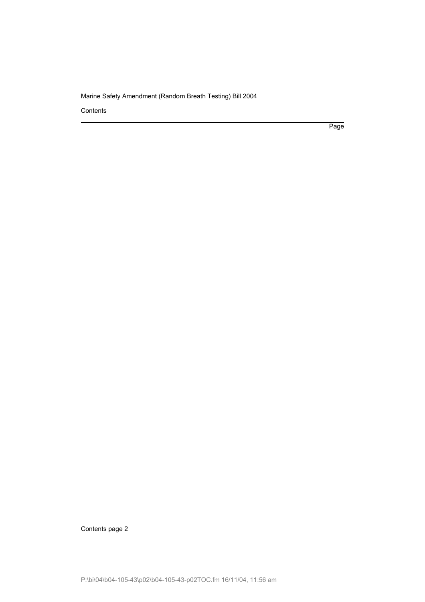**Contents** 

Page

Contents page 2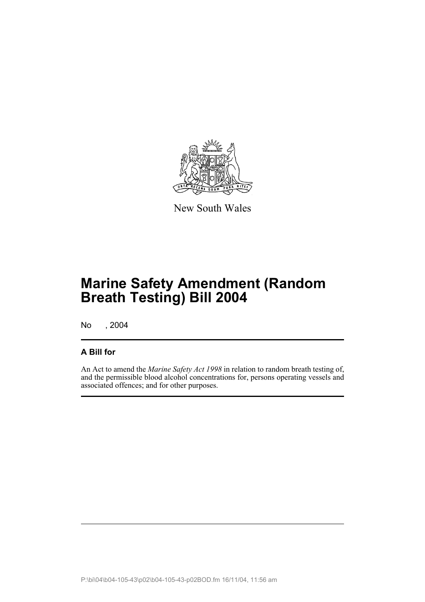

New South Wales

# **Marine Safety Amendment (Random Breath Testing) Bill 2004**

No , 2004

#### **A Bill for**

An Act to amend the *Marine Safety Act 1998* in relation to random breath testing of, and the permissible blood alcohol concentrations for, persons operating vessels and associated offences; and for other purposes.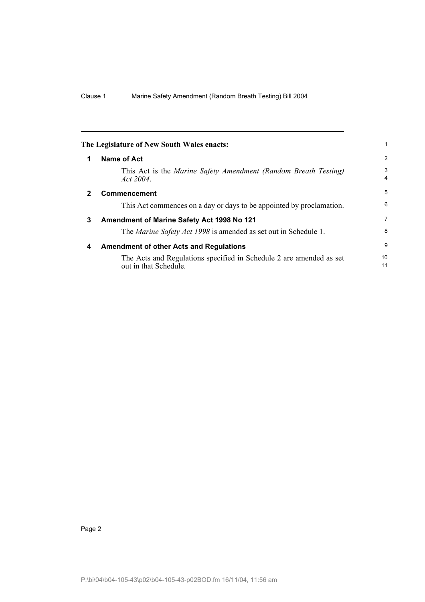|              | The Legislature of New South Wales enacts:                                                   |                |
|--------------|----------------------------------------------------------------------------------------------|----------------|
| 1            | Name of Act                                                                                  | $\overline{2}$ |
|              | This Act is the Marine Safety Amendment (Random Breath Testing)<br>Act $2004$ .              | 3<br>4         |
| $\mathbf{2}$ | <b>Commencement</b>                                                                          | 5              |
|              | This Act commences on a day or days to be appointed by proclamation.                         | 6              |
| 3            | Amendment of Marine Safety Act 1998 No 121                                                   | 7              |
|              | The <i>Marine Safety Act 1998</i> is amended as set out in Schedule 1.                       | 8              |
| 4            | <b>Amendment of other Acts and Regulations</b>                                               | 9              |
|              | The Acts and Regulations specified in Schedule 2 are amended as set<br>out in that Schedule. | 10<br>11       |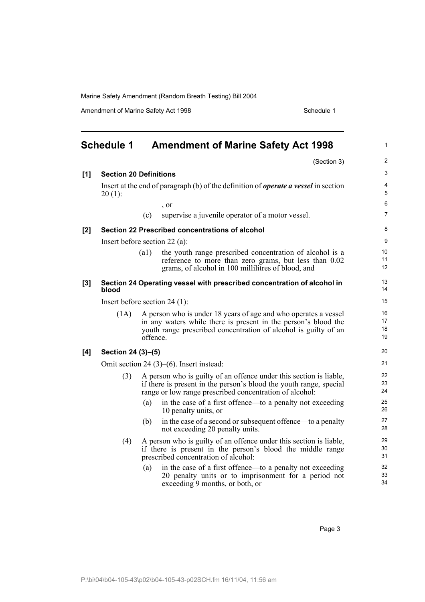Amendment of Marine Safety Act 1998 Schedule 1

|     | <b>Schedule 1</b>                               |          | <b>Amendment of Marine Safety Act 1998</b>                                                                                                                                                           | $\mathbf{1}$         |
|-----|-------------------------------------------------|----------|------------------------------------------------------------------------------------------------------------------------------------------------------------------------------------------------------|----------------------|
|     |                                                 |          | (Section 3)                                                                                                                                                                                          | $\overline{2}$       |
| [1] | <b>Section 20 Definitions</b>                   |          |                                                                                                                                                                                                      | 3                    |
|     | $20(1)$ :                                       |          | Insert at the end of paragraph (b) of the definition of <i>operate a vessel</i> in section                                                                                                           | $\overline{4}$<br>5  |
|     |                                                 |          | , or                                                                                                                                                                                                 | 6                    |
|     |                                                 | (c)      | supervise a juvenile operator of a motor vessel.                                                                                                                                                     | $\overline{7}$       |
| [2] |                                                 |          | Section 22 Prescribed concentrations of alcohol                                                                                                                                                      | 8                    |
|     | Insert before section $22$ (a):                 |          |                                                                                                                                                                                                      | 9                    |
|     |                                                 | (a1)     | the youth range prescribed concentration of alcohol is a<br>reference to more than zero grams, but less than 0.02<br>grams, of alcohol in 100 millilitres of blood, and                              | 10<br>11<br>12       |
| [3] | blood                                           |          | Section 24 Operating vessel with prescribed concentration of alcohol in                                                                                                                              | 13<br>14             |
|     | Insert before section $24$ (1):                 |          |                                                                                                                                                                                                      |                      |
|     | (1A)                                            | offence. | A person who is under 18 years of age and who operates a vessel<br>in any waters while there is present in the person's blood the<br>youth range prescribed concentration of alcohol is guilty of an | 16<br>17<br>18<br>19 |
| [4] | Section 24 (3)–(5)                              |          | 20                                                                                                                                                                                                   |                      |
|     | Omit section 24 $(3)$ – $(6)$ . Insert instead: |          | 21                                                                                                                                                                                                   |                      |
|     | (3)                                             |          | A person who is guilty of an offence under this section is liable,<br>if there is present in the person's blood the youth range, special<br>range or low range prescribed concentration of alcohol:  | 22<br>23<br>24       |
|     |                                                 | (a)      | in the case of a first offence—to a penalty not exceeding<br>10 penalty units, or                                                                                                                    | 25<br>26             |
|     |                                                 | (b)      | in the case of a second or subsequent offence—to a penalty<br>not exceeding 20 penalty units.                                                                                                        | 27<br>28             |
|     | (4)                                             |          | A person who is guilty of an offence under this section is liable,<br>if there is present in the person's blood the middle range<br>prescribed concentration of alcohol:                             | 29<br>30<br>31       |
|     |                                                 | (a)      | in the case of a first offence—to a penalty not exceeding<br>20 penalty units or to imprisonment for a period not<br>exceeding 9 months, or both, or                                                 | 32<br>33<br>34       |

Page 3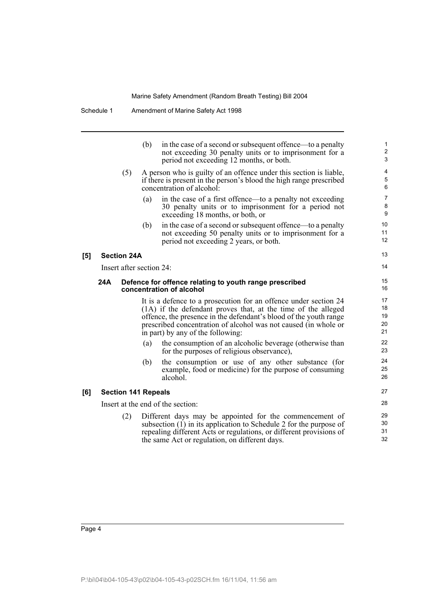|     |                            | (b) | in the case of a second or subsequent offence—to a penalty<br>not exceeding 30 penalty units or to imprisonment for a<br>period not exceeding 12 months, or both.                                                                                                                                              | $\mathbf{1}$<br>$\overline{\mathbf{c}}$<br>3 |
|-----|----------------------------|-----|----------------------------------------------------------------------------------------------------------------------------------------------------------------------------------------------------------------------------------------------------------------------------------------------------------------|----------------------------------------------|
|     | (5)                        |     | A person who is guilty of an offence under this section is liable,<br>if there is present in the person's blood the high range prescribed<br>concentration of alcohol:                                                                                                                                         | 4<br>5<br>6                                  |
|     |                            | (a) | in the case of a first offence—to a penalty not exceeding<br>30 penalty units or to imprisonment for a period not<br>exceeding 18 months, or both, or                                                                                                                                                          | $\overline{7}$<br>8<br>9                     |
|     |                            | (b) | in the case of a second or subsequent offence—to a penalty<br>not exceeding 50 penalty units or to imprisonment for a<br>period not exceeding 2 years, or both.                                                                                                                                                | 10<br>11<br>12                               |
|     | <b>Section 24A</b>         |     |                                                                                                                                                                                                                                                                                                                | 13                                           |
|     | Insert after section 24:   |     |                                                                                                                                                                                                                                                                                                                | 14                                           |
| 24A |                            |     | Defence for offence relating to youth range prescribed<br>concentration of alcohol                                                                                                                                                                                                                             | 15<br>16                                     |
|     |                            |     | It is a defence to a prosecution for an offence under section 24<br>(1A) if the defendant proves that, at the time of the alleged<br>offence, the presence in the defendant's blood of the youth range<br>prescribed concentration of alcohol was not caused (in whole or<br>in part) by any of the following: | 17<br>18<br>19<br>20<br>21                   |
|     |                            | (a) | the consumption of an alcoholic beverage (otherwise than<br>for the purposes of religious observance),                                                                                                                                                                                                         | 22<br>23                                     |
|     |                            | (b) | the consumption or use of any other substance (for<br>example, food or medicine) for the purpose of consuming<br>alcohol.                                                                                                                                                                                      | 24<br>25<br>26                               |
|     | <b>Section 141 Repeals</b> |     |                                                                                                                                                                                                                                                                                                                | 27                                           |
|     |                            |     | Insert at the end of the section:                                                                                                                                                                                                                                                                              | 28                                           |
|     | (2)                        |     | Different days may be appointed for the commencement of<br>subsection $(1)$ in its application to Schedule 2 for the purpose of<br>repealing different Acts or regulations, or different provisions of<br>the same Act or regulation, on different days.                                                       | 29<br>30<br>31<br>32                         |
|     |                            |     |                                                                                                                                                                                                                                                                                                                |                                              |

**[5]** 

**[6]**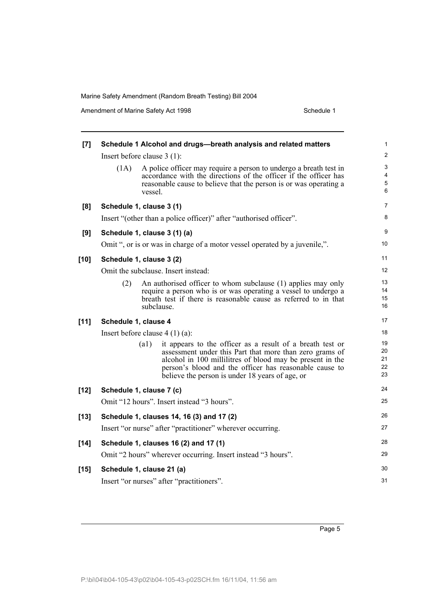Amendment of Marine Safety Act 1998 Schedule 1

| $\left[ 7 \right]$ |                                  | Schedule 1 Alcohol and drugs-breath analysis and related matters                                                                                                                                                                                                                               | 1                          |
|--------------------|----------------------------------|------------------------------------------------------------------------------------------------------------------------------------------------------------------------------------------------------------------------------------------------------------------------------------------------|----------------------------|
|                    | Insert before clause $3(1)$ :    |                                                                                                                                                                                                                                                                                                | $\overline{\mathbf{c}}$    |
|                    | (1A)<br>vessel.                  | A police officer may require a person to undergo a breath test in<br>accordance with the directions of the officer if the officer has<br>reasonable cause to believe that the person is or was operating a                                                                                     | 3<br>4<br>5<br>6           |
| [8]                | Schedule 1, clause 3 (1)         |                                                                                                                                                                                                                                                                                                | 7                          |
|                    |                                  | Insert "(other than a police officer)" after "authorised officer".                                                                                                                                                                                                                             | 8                          |
| [9]                | Schedule 1, clause 3 (1) (a)     |                                                                                                                                                                                                                                                                                                | 9                          |
|                    |                                  | Omit ", or is or was in charge of a motor vessel operated by a juvenile,".                                                                                                                                                                                                                     | 10                         |
| $[10]$             | Schedule 1, clause 3 (2)         |                                                                                                                                                                                                                                                                                                | 11                         |
|                    |                                  | Omit the subclause. Insert instead:                                                                                                                                                                                                                                                            | 12                         |
|                    | (2)                              | An authorised officer to whom subclause (1) applies may only<br>require a person who is or was operating a vessel to undergo a<br>breath test if there is reasonable cause as referred to in that<br>subclause.                                                                                | 13<br>14<br>15<br>16       |
| $[11]$             | Schedule 1, clause 4             |                                                                                                                                                                                                                                                                                                | 17                         |
|                    | Insert before clause $4(1)(a)$ : |                                                                                                                                                                                                                                                                                                | 18                         |
|                    | (a1)                             | it appears to the officer as a result of a breath test or<br>assessment under this Part that more than zero grams of<br>alcohol in 100 millilitres of blood may be present in the<br>person's blood and the officer has reasonable cause to<br>believe the person is under 18 years of age, or | 19<br>20<br>21<br>22<br>23 |
| $[12]$             | Schedule 1, clause 7 (c)         |                                                                                                                                                                                                                                                                                                | 24                         |
|                    |                                  | Omit "12 hours". Insert instead "3 hours".                                                                                                                                                                                                                                                     | 25                         |
| $[13]$             |                                  | Schedule 1, clauses 14, 16 (3) and 17 (2)                                                                                                                                                                                                                                                      | 26                         |
|                    |                                  | Insert "or nurse" after "practitioner" wherever occurring.                                                                                                                                                                                                                                     | 27                         |
| $[14]$             |                                  | Schedule 1, clauses 16 (2) and 17 (1)                                                                                                                                                                                                                                                          | 28                         |
|                    |                                  | Omit "2 hours" wherever occurring. Insert instead "3 hours".                                                                                                                                                                                                                                   | 29                         |
| $[15]$             | Schedule 1, clause 21 (a)        |                                                                                                                                                                                                                                                                                                | 30                         |
|                    |                                  | Insert "or nurses" after "practitioners".                                                                                                                                                                                                                                                      | 31                         |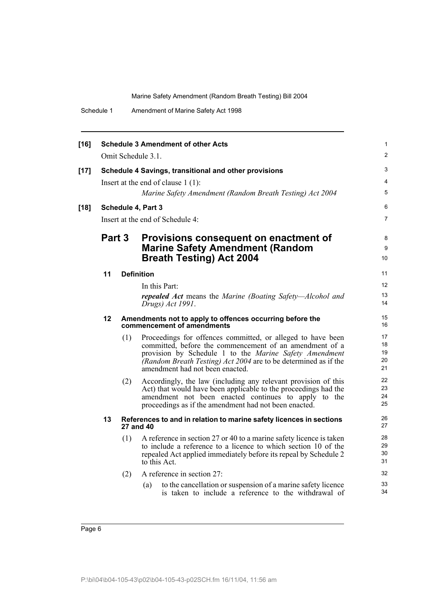| Schedule 1 | Amendment of Marine Safety Act 1998 |  |
|------------|-------------------------------------|--|
|------------|-------------------------------------|--|

| $[16]$ |                                  |     | <b>Schedule 3 Amendment of other Acts</b>                                                                                                                                                                                                                                              | $\mathbf{1}$               |
|--------|----------------------------------|-----|----------------------------------------------------------------------------------------------------------------------------------------------------------------------------------------------------------------------------------------------------------------------------------------|----------------------------|
|        |                                  |     | Omit Schedule 3.1.                                                                                                                                                                                                                                                                     | 2                          |
| $[17]$ |                                  |     | Schedule 4 Savings, transitional and other provisions                                                                                                                                                                                                                                  | 3                          |
|        |                                  |     | Insert at the end of clause $1(1)$ :                                                                                                                                                                                                                                                   | $\overline{4}$             |
|        |                                  |     | Marine Safety Amendment (Random Breath Testing) Act 2004                                                                                                                                                                                                                               | $\overline{5}$             |
| $[18]$ |                                  |     | Schedule 4, Part 3                                                                                                                                                                                                                                                                     | 6                          |
|        | Insert at the end of Schedule 4: |     |                                                                                                                                                                                                                                                                                        | $\overline{7}$             |
|        | Part 3                           |     | Provisions consequent on enactment of                                                                                                                                                                                                                                                  | 8                          |
|        |                                  |     | <b>Marine Safety Amendment (Random</b>                                                                                                                                                                                                                                                 | 9                          |
|        |                                  |     | <b>Breath Testing) Act 2004</b>                                                                                                                                                                                                                                                        | 10                         |
|        | 11                               |     | <b>Definition</b>                                                                                                                                                                                                                                                                      | 11                         |
|        |                                  |     | In this Part:                                                                                                                                                                                                                                                                          | 12                         |
|        |                                  |     | <b>repealed Act</b> means the Marine (Boating Safety—Alcohol and<br>Drugs) Act 1991.                                                                                                                                                                                                   | 13<br>14                   |
|        | 12                               |     | Amendments not to apply to offences occurring before the<br>commencement of amendments                                                                                                                                                                                                 | 15<br>16                   |
|        |                                  | (1) | Proceedings for offences committed, or alleged to have been<br>committed, before the commencement of an amendment of a<br>provision by Schedule 1 to the Marine Safety Amendment<br>(Random Breath Testing) Act 2004 are to be determined as if the<br>amendment had not been enacted. | 17<br>18<br>19<br>20<br>21 |
|        |                                  | (2) | Accordingly, the law (including any relevant provision of this<br>Act) that would have been applicable to the proceedings had the<br>amendment not been enacted continues to apply to the<br>proceedings as if the amendment had not been enacted.                                     | 22<br>23<br>24<br>25       |
|        | 13                               |     | References to and in relation to marine safety licences in sections<br>27 and 40                                                                                                                                                                                                       | 26<br>27                   |
|        |                                  | (1) | A reference in section 27 or 40 to a marine safety licence is taken<br>to include a reference to a licence to which section 10 of the<br>repealed Act applied immediately before its repeal by Schedule 2<br>to this Act.                                                              | 28<br>29<br>30<br>31       |
|        |                                  | (2) | A reference in section 27:                                                                                                                                                                                                                                                             | 32                         |
|        |                                  |     | to the cancellation or suspension of a marine safety licence<br>(a)<br>is taken to include a reference to the withdrawal of                                                                                                                                                            | 33<br>34                   |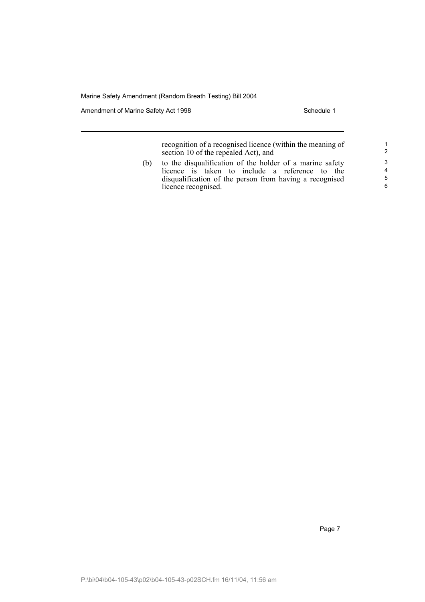Amendment of Marine Safety Act 1998 Schedule 1

recognition of a recognised licence (within the meaning of section 10 of the repealed Act), and

(b) to the disqualification of the holder of a marine safety licence is taken to include a reference to the disqualification of the person from having a recognised licence recognised.

Page 7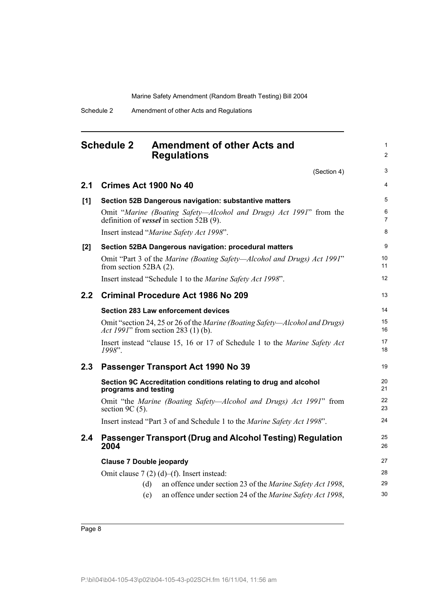| <b>Schedule 2</b> | <b>Amendment of other Acts and</b> |
|-------------------|------------------------------------|
|                   | <b>Regulations</b>                 |

(Section 4)

1 2

3

| 2.1              | Crimes Act 1900 No 40                                                                                                   | $\overline{4}$      |
|------------------|-------------------------------------------------------------------------------------------------------------------------|---------------------|
| [1]              | Section 52B Dangerous navigation: substantive matters                                                                   | 5                   |
|                  | Omit "Marine (Boating Safety—Alcohol and Drugs) Act 1991" from the<br>definition of <b>vessel</b> in section $52B(9)$ . | 6<br>$\overline{7}$ |
|                  | Insert instead "Marine Safety Act 1998".                                                                                | 8                   |
| [2]              | Section 52BA Dangerous navigation: procedural matters                                                                   | 9                   |
|                  | Omit "Part 3 of the Marine (Boating Safety—Alcohol and Drugs) Act 1991"<br>from section $52BA(2)$ .                     | 10<br>11            |
|                  | Insert instead "Schedule 1 to the <i>Marine Safety Act 1998"</i> .                                                      | 12                  |
| 2.2 <sub>2</sub> | Criminal Procedure Act 1986 No 209                                                                                      | 13                  |
|                  | <b>Section 283 Law enforcement devices</b>                                                                              | 14                  |
|                  | Omit "section 24, 25 or 26 of the Marine (Boating Safety—Alcohol and Drugs)<br>Act 1991" from section 283 (1) (b).      | 15<br>16            |
|                  | Insert instead "clause 15, 16 or 17 of Schedule 1 to the Marine Safety Act<br>1998".                                    | 17<br>18            |
| 2.3              | Passenger Transport Act 1990 No 39                                                                                      | 19                  |
|                  | Section 9C Accreditation conditions relating to drug and alcohol<br>programs and testing                                | 20<br>21            |
|                  | Omit "the Marine (Boating Safety—Alcohol and Drugs) Act 1991" from<br>section 9C $(5)$ .                                | 22<br>23            |
|                  | Insert instead "Part 3 of and Schedule 1 to the Marine Safety Act 1998".                                                | 24                  |
| 2.4              | Passenger Transport (Drug and Alcohol Testing) Regulation<br>2004                                                       | 25<br>26            |
|                  | <b>Clause 7 Double jeopardy</b>                                                                                         | 27                  |
|                  | Omit clause $7(2)(d)$ –(f). Insert instead:                                                                             | 28                  |
|                  | an offence under section 23 of the <i>Marine Safety Act 1998</i> ,<br>(d)                                               | 29                  |
|                  | an offence under section 24 of the Marine Safety Act 1998,<br>(e)                                                       | 30                  |